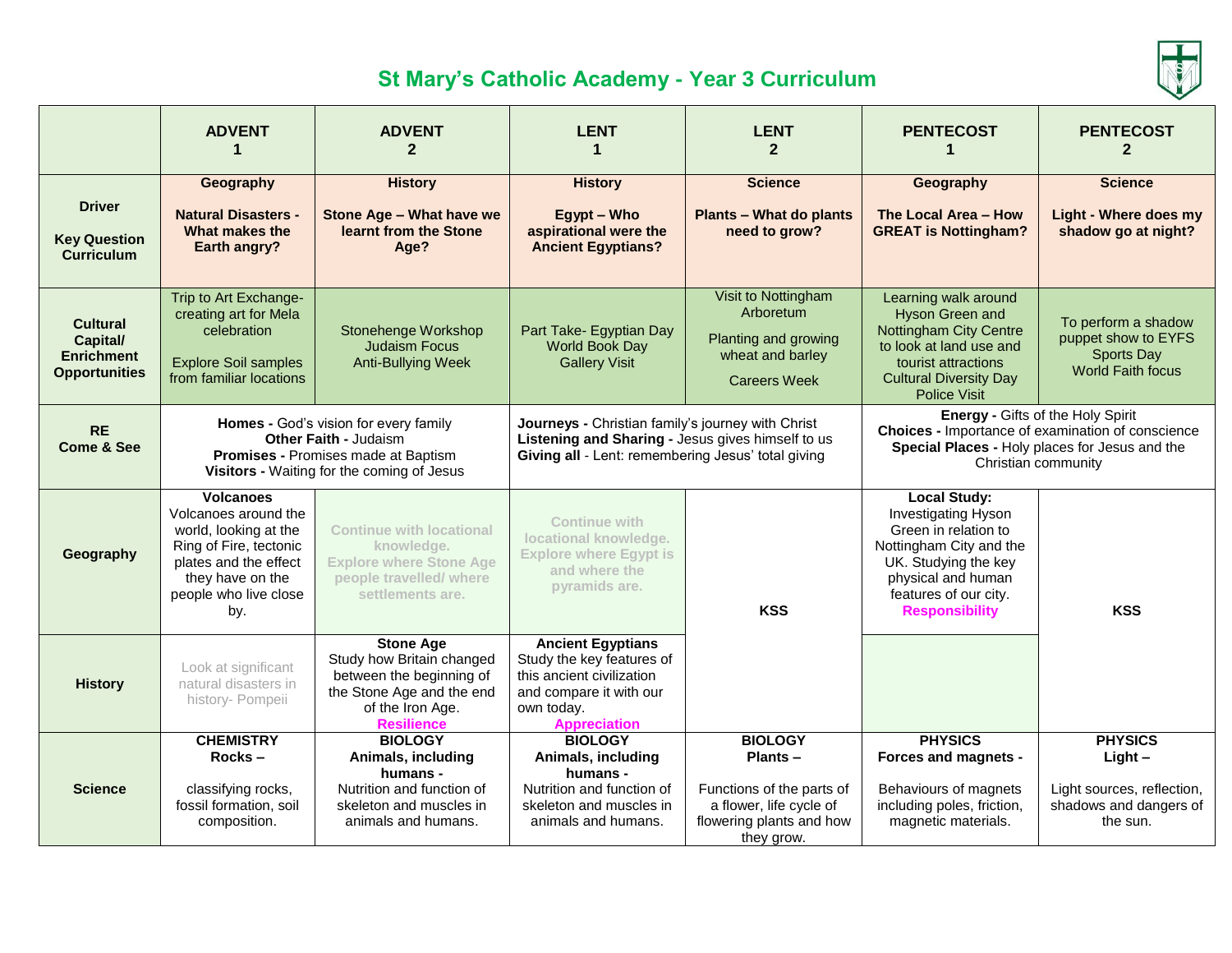## **St Mary's Catholic Academy - Year 3 Curriculum**



|                                                                          | <b>ADVENT</b><br>1                                                                                                                                                       | <b>ADVENT</b><br>$\mathbf{2}$                                                                                                                   | <b>LENT</b><br>1                                                                                                                                             | <b>LENT</b><br>$\mathbf{2}$                                                                                                 | <b>PENTECOST</b>                                                                                                                                                                              | <b>PENTECOST</b><br>$\mathbf{2}$                                                                |
|--------------------------------------------------------------------------|--------------------------------------------------------------------------------------------------------------------------------------------------------------------------|-------------------------------------------------------------------------------------------------------------------------------------------------|--------------------------------------------------------------------------------------------------------------------------------------------------------------|-----------------------------------------------------------------------------------------------------------------------------|-----------------------------------------------------------------------------------------------------------------------------------------------------------------------------------------------|-------------------------------------------------------------------------------------------------|
| <b>Driver</b><br><b>Key Question</b><br><b>Curriculum</b>                | Geography<br><b>Natural Disasters -</b><br>What makes the<br>Earth angry?                                                                                                | <b>History</b><br>Stone Age - What have we<br>learnt from the Stone<br>Age?                                                                     | <b>History</b><br>Egypt - Who<br>aspirational were the<br><b>Ancient Egyptians?</b>                                                                          | <b>Science</b><br><b>Plants - What do plants</b><br>need to grow?                                                           | Geography<br>The Local Area - How<br><b>GREAT is Nottingham?</b>                                                                                                                              | <b>Science</b><br>Light - Where does my<br>shadow go at night?                                  |
| <b>Cultural</b><br>Capital/<br><b>Enrichment</b><br><b>Opportunities</b> | Trip to Art Exchange-<br>creating art for Mela<br>celebration<br><b>Explore Soil samples</b><br>from familiar locations                                                  | Stonehenge Workshop<br><b>Judaism Focus</b><br>Anti-Bullying Week                                                                               | Part Take- Egyptian Day<br>World Book Day<br><b>Gallery Visit</b>                                                                                            | Visit to Nottingham<br>Arboretum<br>Planting and growing<br>wheat and barley<br><b>Careers Week</b>                         | Learning walk around<br><b>Hyson Green and</b><br><b>Nottingham City Centre</b><br>to look at land use and<br>tourist attractions<br><b>Cultural Diversity Day</b><br><b>Police Visit</b>     | To perform a shadow<br>puppet show to EYFS<br><b>Sports Day</b><br><b>World Faith focus</b>     |
| <b>RE</b><br><b>Come &amp; See</b>                                       | Homes - God's vision for every family<br>Other Faith - Judaism<br><b>Promises - Promises made at Baptism</b><br>Visitors - Waiting for the coming of Jesus               |                                                                                                                                                 | Journeys - Christian family's journey with Christ<br>Listening and Sharing - Jesus gives himself to us<br>Giving all - Lent: remembering Jesus' total giving |                                                                                                                             | <b>Energy - Gifts of the Holy Spirit</b><br>Choices - Importance of examination of conscience<br>Special Places - Holy places for Jesus and the<br>Christian community                        |                                                                                                 |
| Geography                                                                | <b>Volcanoes</b><br>Volcanoes around the<br>world, looking at the<br>Ring of Fire, tectonic<br>plates and the effect<br>they have on the<br>people who live close<br>by. | <b>Continue with locational</b><br>knowledge.<br><b>Explore where Stone Age</b><br>people travelled/ where<br>settlements are.                  | <b>Continue with</b><br>locational knowledge.<br><b>Explore where Egypt is</b><br>and where the<br>pyramids are.                                             | <b>KSS</b>                                                                                                                  | <b>Local Study:</b><br>Investigating Hyson<br>Green in relation to<br>Nottingham City and the<br>UK. Studying the key<br>physical and human<br>features of our city.<br><b>Responsibility</b> | <b>KSS</b>                                                                                      |
| <b>History</b>                                                           | Look at significant<br>natural disasters in<br>history- Pompeii                                                                                                          | <b>Stone Age</b><br>Study how Britain changed<br>between the beginning of<br>the Stone Age and the end<br>of the Iron Age.<br><b>Resilience</b> | <b>Ancient Egyptians</b><br>Study the key features of<br>this ancient civilization<br>and compare it with our<br>own today.<br><b>Appreciation</b>           |                                                                                                                             |                                                                                                                                                                                               |                                                                                                 |
| <b>Science</b>                                                           | <b>CHEMISTRY</b><br>$Rocks -$<br>classifying rocks,<br>fossil formation, soil<br>composition.                                                                            | <b>BIOLOGY</b><br>Animals, including<br>humans -<br>Nutrition and function of<br>skeleton and muscles in<br>animals and humans.                 | <b>BIOLOGY</b><br>Animals, including<br>humans -<br>Nutrition and function of<br>skeleton and muscles in<br>animals and humans.                              | <b>BIOLOGY</b><br>Plants-<br>Functions of the parts of<br>a flower, life cycle of<br>flowering plants and how<br>they grow. | <b>PHYSICS</b><br>Forces and magnets -<br>Behaviours of magnets<br>including poles, friction,<br>magnetic materials.                                                                          | <b>PHYSICS</b><br>$Light -$<br>Light sources, reflection,<br>shadows and dangers of<br>the sun. |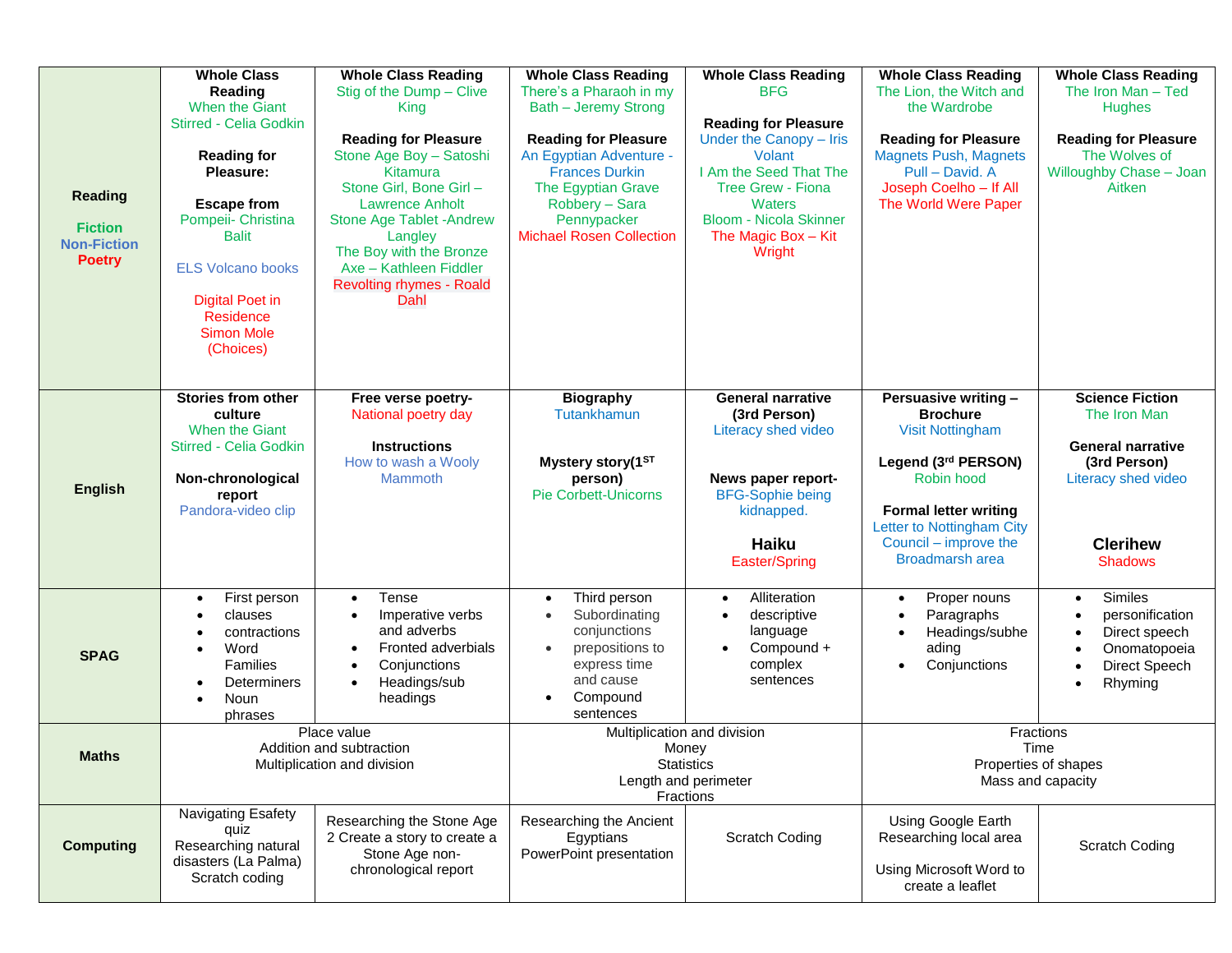| <b>Reading</b><br><b>Fiction</b><br><b>Non-Fiction</b><br><b>Poetry</b> | <b>Whole Class</b><br>Reading<br>When the Giant<br><b>Stirred - Celia Godkin</b><br><b>Reading for</b><br>Pleasure:<br><b>Escape from</b><br>Pompeii- Christina<br><b>Balit</b><br><b>ELS Volcano books</b><br><b>Digital Poet in</b><br>Residence<br><b>Simon Mole</b><br>(Choices) | <b>Whole Class Reading</b><br>Stig of the Dump - Clive<br>King<br><b>Reading for Pleasure</b><br>Stone Age Boy - Satoshi<br>Kitamura<br>Stone Girl, Bone Girl-<br><b>Lawrence Anholt</b><br>Stone Age Tablet - Andrew<br>Langley<br>The Boy with the Bronze<br>Axe - Kathleen Fiddler<br><b>Revolting rhymes - Roald</b><br>Dahl | <b>Whole Class Reading</b><br>There's a Pharaoh in my<br><b>Bath - Jeremy Strong</b><br><b>Reading for Pleasure</b><br>An Egyptian Adventure -<br><b>Frances Durkin</b><br>The Egyptian Grave<br>Robbery - Sara<br>Pennypacker<br><b>Michael Rosen Collection</b> | <b>Whole Class Reading</b><br><b>BFG</b><br><b>Reading for Pleasure</b><br>Under the Canopy - Iris<br>Volant<br>I Am the Seed That The<br><b>Tree Grew - Fiona</b><br>Waters<br><b>Bloom - Nicola Skinner</b><br>The Magic Box - Kit<br>Wright | <b>Whole Class Reading</b><br>The Lion, the Witch and<br>the Wardrobe<br><b>Reading for Pleasure</b><br><b>Magnets Push, Magnets</b><br>Pull - David. A<br>Joseph Coelho - If All<br>The World Were Paper               | <b>Whole Class Reading</b><br>The Iron Man - Ted<br>Hughes<br><b>Reading for Pleasure</b><br>The Wolves of<br>Willoughby Chase - Joan<br>Aitken |
|-------------------------------------------------------------------------|--------------------------------------------------------------------------------------------------------------------------------------------------------------------------------------------------------------------------------------------------------------------------------------|----------------------------------------------------------------------------------------------------------------------------------------------------------------------------------------------------------------------------------------------------------------------------------------------------------------------------------|-------------------------------------------------------------------------------------------------------------------------------------------------------------------------------------------------------------------------------------------------------------------|------------------------------------------------------------------------------------------------------------------------------------------------------------------------------------------------------------------------------------------------|-------------------------------------------------------------------------------------------------------------------------------------------------------------------------------------------------------------------------|-------------------------------------------------------------------------------------------------------------------------------------------------|
| <b>English</b>                                                          | <b>Stories from other</b><br>culture<br>When the Giant<br><b>Stirred - Celia Godkin</b><br>Non-chronological<br>report<br>Pandora-video clip                                                                                                                                         | Free verse poetry-<br>National poetry day<br><b>Instructions</b><br>How to wash a Wooly<br>Mammoth                                                                                                                                                                                                                               | <b>Biography</b><br>Tutankhamun<br>Mystery story(1ST<br>person)<br><b>Pie Corbett-Unicorns</b>                                                                                                                                                                    | <b>General narrative</b><br>(3rd Person)<br>Literacy shed video<br>News paper report-<br><b>BFG-Sophie being</b><br>kidnapped.<br><b>Haiku</b><br>Easter/Spring                                                                                | Persuasive writing -<br><b>Brochure</b><br><b>Visit Nottingham</b><br>Legend (3rd PERSON)<br>Robin hood<br><b>Formal letter writing</b><br>Letter to Nottingham City<br>Council – improve the<br><b>Broadmarsh area</b> | <b>Science Fiction</b><br>The Iron Man<br><b>General narrative</b><br>(3rd Person)<br>Literacy shed video<br><b>Clerihew</b><br><b>Shadows</b>  |
| <b>SPAG</b>                                                             | First person<br>$\bullet$<br>clauses<br>contractions<br>Word<br>Families<br>Determiners<br>$\bullet$<br><b>Noun</b><br>$\bullet$<br>phrases                                                                                                                                          | Tense<br>$\bullet$<br>Imperative verbs<br>$\bullet$<br>and adverbs<br>Fronted adverbials<br>Conjunctions<br>Headings/sub<br>$\bullet$<br>headings                                                                                                                                                                                | Third person<br>$\bullet$<br>Subordinating<br>$\bullet$<br>conjunctions<br>prepositions to<br>$\bullet$<br>express time<br>and cause<br>Compound<br>$\bullet$<br>sentences                                                                                        | Alliteration<br>descriptive<br>language<br>Compound +<br>complex<br>sentences                                                                                                                                                                  | Proper nouns<br>$\bullet$<br>Paragraphs<br>Headings/subhe<br>ading<br>Conjunctions<br>$\bullet$                                                                                                                         | <b>Similes</b><br>personification<br>Direct speech<br>Onomatopoeia<br><b>Direct Speech</b><br>Rhyming                                           |
| <b>Maths</b>                                                            | Place value<br>Addition and subtraction<br>Multiplication and division                                                                                                                                                                                                               |                                                                                                                                                                                                                                                                                                                                  | Multiplication and division<br>Money<br><b>Statistics</b><br>Length and perimeter<br>Fractions                                                                                                                                                                    |                                                                                                                                                                                                                                                | Fractions<br>Time<br>Properties of shapes<br>Mass and capacity                                                                                                                                                          |                                                                                                                                                 |
| <b>Computing</b>                                                        | Navigating Esafety<br>quiz<br>Researching natural<br>disasters (La Palma)<br>Scratch coding                                                                                                                                                                                          | Researching the Stone Age<br>2 Create a story to create a<br>Stone Age non-<br>chronological report                                                                                                                                                                                                                              | Researching the Ancient<br>Egyptians<br>PowerPoint presentation                                                                                                                                                                                                   | <b>Scratch Coding</b>                                                                                                                                                                                                                          | Using Google Earth<br>Researching local area<br>Using Microsoft Word to<br>create a leaflet                                                                                                                             | <b>Scratch Coding</b>                                                                                                                           |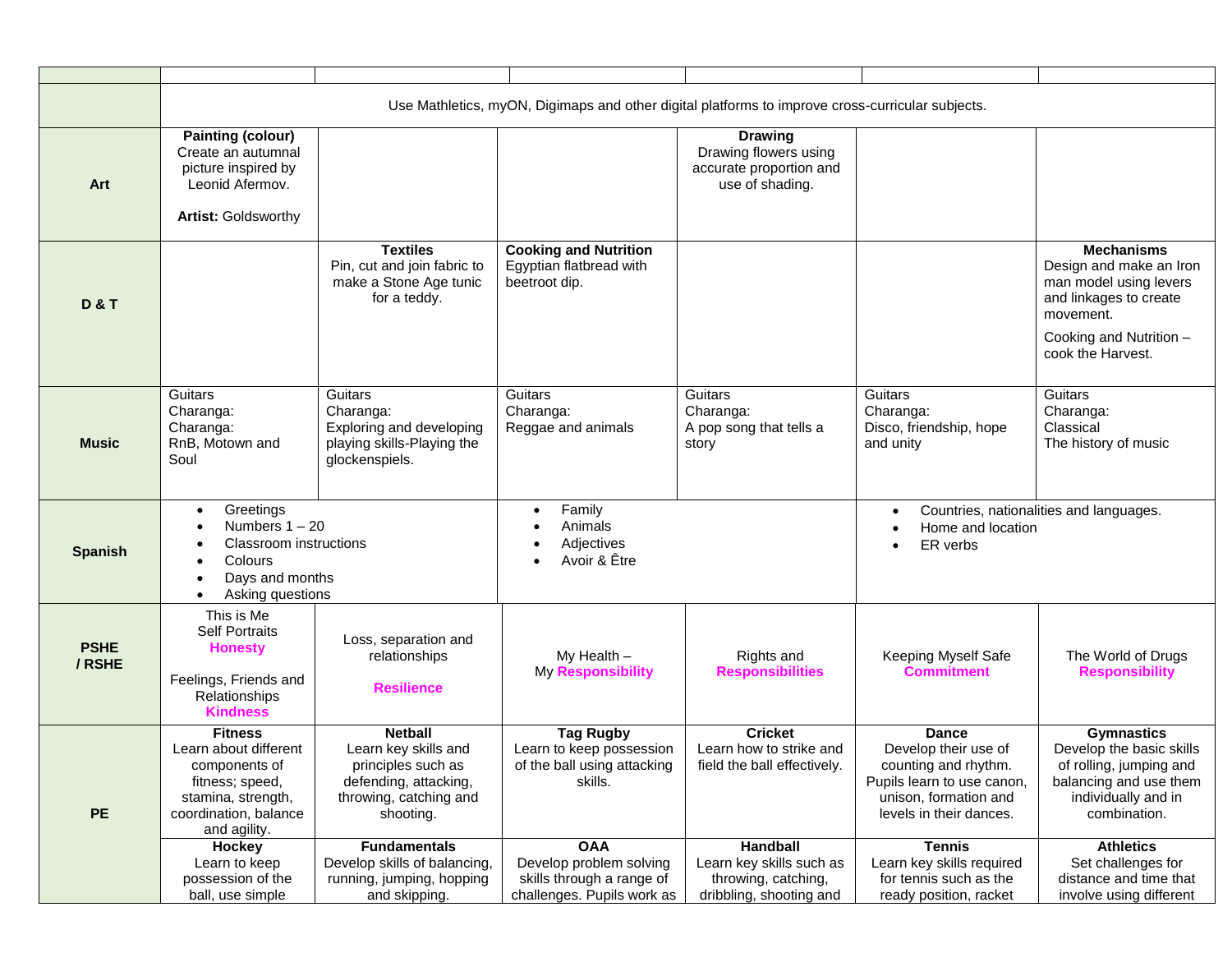|                       | Use Mathletics, myON, Digimaps and other digital platforms to improve cross-curricular subjects.                                           |                                                                                                                              |                                                                                                  |                                                                                               |                                                                                                                                                |                                                                                                                                                               |  |
|-----------------------|--------------------------------------------------------------------------------------------------------------------------------------------|------------------------------------------------------------------------------------------------------------------------------|--------------------------------------------------------------------------------------------------|-----------------------------------------------------------------------------------------------|------------------------------------------------------------------------------------------------------------------------------------------------|---------------------------------------------------------------------------------------------------------------------------------------------------------------|--|
| Art                   | <b>Painting (colour)</b><br>Create an autumnal<br>picture inspired by<br>Leonid Afermov.<br><b>Artist: Goldsworthy</b>                     |                                                                                                                              |                                                                                                  | <b>Drawing</b><br>Drawing flowers using<br>accurate proportion and<br>use of shading.         |                                                                                                                                                |                                                                                                                                                               |  |
| <b>D&amp;T</b>        |                                                                                                                                            | <b>Textiles</b><br>Pin, cut and join fabric to<br>make a Stone Age tunic<br>for a teddy.                                     | <b>Cooking and Nutrition</b><br>Egyptian flatbread with<br>beetroot dip.                         |                                                                                               |                                                                                                                                                | <b>Mechanisms</b><br>Design and make an Iron<br>man model using levers<br>and linkages to create<br>movement.<br>Cooking and Nutrition -<br>cook the Harvest. |  |
| <b>Music</b>          | Guitars<br>Charanga:<br>Charanga:<br>RnB, Motown and<br>Soul                                                                               | Guitars<br>Charanga:<br>Exploring and developing<br>playing skills-Playing the<br>glockenspiels.                             | Guitars<br>Charanga:<br>Reggae and animals                                                       | Guitars<br>Charanga:<br>A pop song that tells a<br>story                                      | Guitars<br>Charanga:<br>Disco, friendship, hope<br>and unity                                                                                   | Guitars<br>Charanga:<br>Classical<br>The history of music                                                                                                     |  |
| <b>Spanish</b>        | Greetings<br>$\bullet$<br>Numbers $1 - 20$<br>Classroom instructions<br>Colours<br>Days and months<br>Asking questions                     |                                                                                                                              | Family<br>$\bullet$<br>Animals<br>Adjectives<br>Avoir & Être                                     |                                                                                               | Countries, nationalities and languages.<br>Home and location<br>ER verbs                                                                       |                                                                                                                                                               |  |
| <b>PSHE</b><br>/ RSHE | This is Me<br><b>Self Portraits</b><br><b>Honesty</b><br>Feelings, Friends and<br>Relationships<br><b>Kindness</b>                         | Loss, separation and<br>relationships<br><b>Resilience</b>                                                                   | My Health $-$<br>My Responsibility                                                               | Rights and<br><b>Responsibilities</b>                                                         | Keeping Myself Safe<br><b>Commitment</b>                                                                                                       | The World of Drugs<br><b>Responsibility</b>                                                                                                                   |  |
| <b>PE</b>             | <b>Fitness</b><br>Learn about different<br>components of<br>fitness; speed,<br>stamina, strength,<br>coordination, balance<br>and agility. | <b>Netball</b><br>Learn key skills and<br>principles such as<br>defending, attacking,<br>throwing, catching and<br>shooting. | <b>Tag Rugby</b><br>Learn to keep possession<br>of the ball using attacking<br>skills.           | <b>Cricket</b><br>Learn how to strike and<br>field the ball effectively.                      | <b>Dance</b><br>Develop their use of<br>counting and rhythm.<br>Pupils learn to use canon,<br>unison, formation and<br>levels in their dances. | <b>Gymnastics</b><br>Develop the basic skills<br>of rolling, jumping and<br>balancing and use them<br>individually and in<br>combination.                     |  |
|                       | Hockey<br>Learn to keep<br>possession of the<br>ball, use simple                                                                           | <b>Fundamentals</b><br>Develop skills of balancing,<br>running, jumping, hopping<br>and skipping.                            | <b>OAA</b><br>Develop problem solving<br>skills through a range of<br>challenges. Pupils work as | <b>Handball</b><br>Learn key skills such as<br>throwing, catching,<br>dribbling, shooting and | <b>Tennis</b><br>Learn key skills required<br>for tennis such as the<br>ready position, racket                                                 | <b>Athletics</b><br>Set challenges for<br>distance and time that<br>involve using different                                                                   |  |